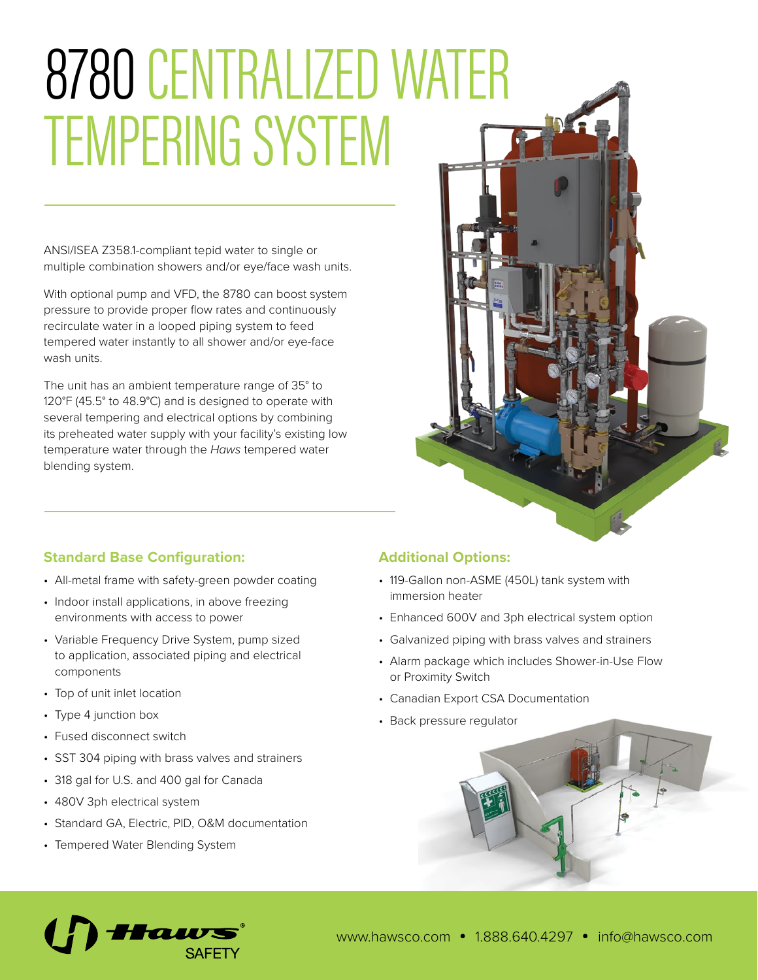# 8780 CENTRALIZED WATER TEMPERING SYSTEM

ANSI/ISEA Z358.1-compliant tepid water to single or multiple combination showers and/or eye/face wash units.

With optional pump and VFD, the 8780 can boost system pressure to provide proper flow rates and continuously recirculate water in a looped piping system to feed tempered water instantly to all shower and/or eye-face wash units.

The unit has an ambient temperature range of 35° to 120°F (45.5° to 48.9°C) and is designed to operate with several tempering and electrical options by combining its preheated water supply with your facility's existing low temperature water through the *Haws* tempered water blending system.



# **Standard Base Configuration:**

- All-metal frame with safety-green powder coating
- Indoor install applications, in above freezing environments with access to power
- Variable Frequency Drive System, pump sized to application, associated piping and electrical components
- Top of unit inlet location
- Type 4 junction box
- Fused disconnect switch
- SST 304 piping with brass valves and strainers
- 318 gal for U.S. and 400 gal for Canada
- 480V 3ph electrical system
- Standard GA, Electric, PID, O&M documentation
- Tempered Water Blending System

# **Additional Options:**

- 119-Gallon non-ASME (450L) tank system with immersion heater
- Enhanced 600V and 3ph electrical system option
- Galvanized piping with brass valves and strainers
- Alarm package which includes Shower-in-Use Flow or Proximity Switch
- Canadian Export CSA Documentation
- Back pressure regulator